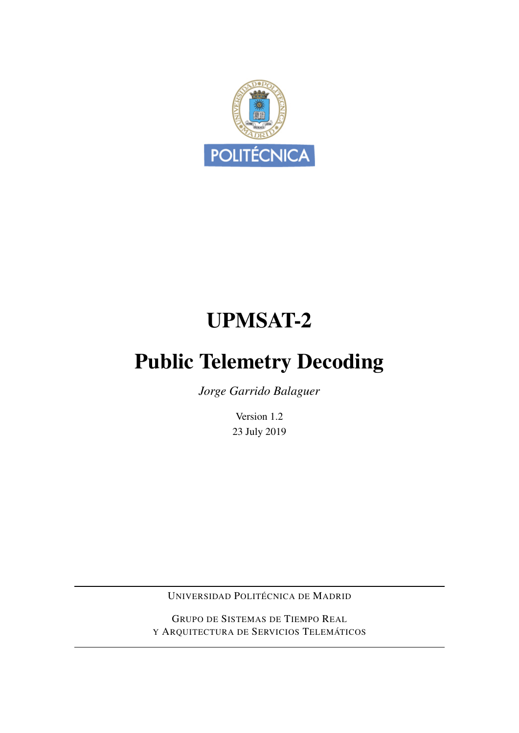

# UPMSAT-2

# Public Telemetry Decoding

*Jorge Garrido Balaguer*

Version 1.2 23 July 2019

UNIVERSIDAD POLITÉCNICA DE MADRID

GRUPO DE SISTEMAS DE TIEMPO REAL Y ARQUITECTURA DE SERVICIOS TELEMÁTICOS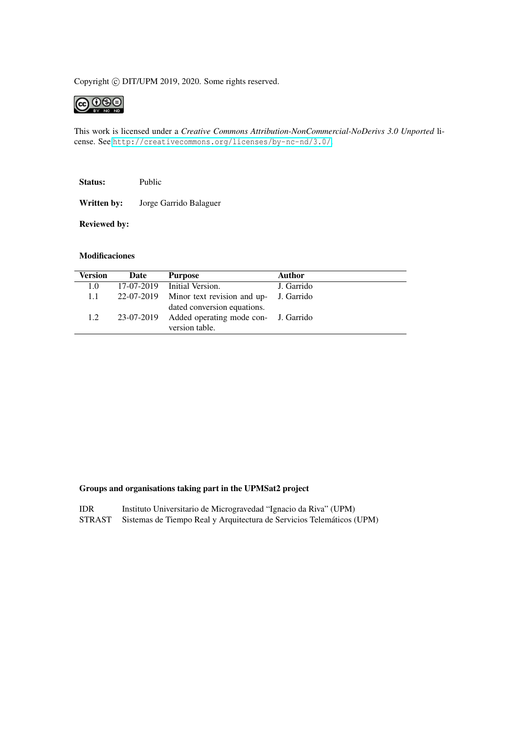#### Copyright © DIT/UPM 2019, 2020. Some rights reserved.



This work is licensed under a *Creative Commons Attribution-NonCommercial-NoDerivs 3.0 Unported* license. See <http://creativecommons.org/licenses/by-nc-nd/3.0/>.

Status: Public

Written by: Jorge Garrido Balaguer

Reviewed by:

#### Modificaciones

| <b>Version</b> | Date       | <b>Purpose</b>                                                                   | <b>Author</b> |
|----------------|------------|----------------------------------------------------------------------------------|---------------|
| 1.0            |            | 17-07-2019 Initial Version.                                                      | J. Garrido    |
| 1.1            |            | 22-07-2019 Minor text revision and up- J. Garrido<br>dated conversion equations. |               |
| 1.2            | 23-07-2019 | Added operating mode con- J. Garrido<br>version table.                           |               |

#### Groups and organisations taking part in the UPMSat2 project

| <b>IDR</b> | Instituto Universitario de Microgravedad "Ignacio da Riva" (UPM) |  |  |  |
|------------|------------------------------------------------------------------|--|--|--|
|------------|------------------------------------------------------------------|--|--|--|

STRAST Sistemas de Tiempo Real y Arquitectura de Servicios Telemáticos (UPM)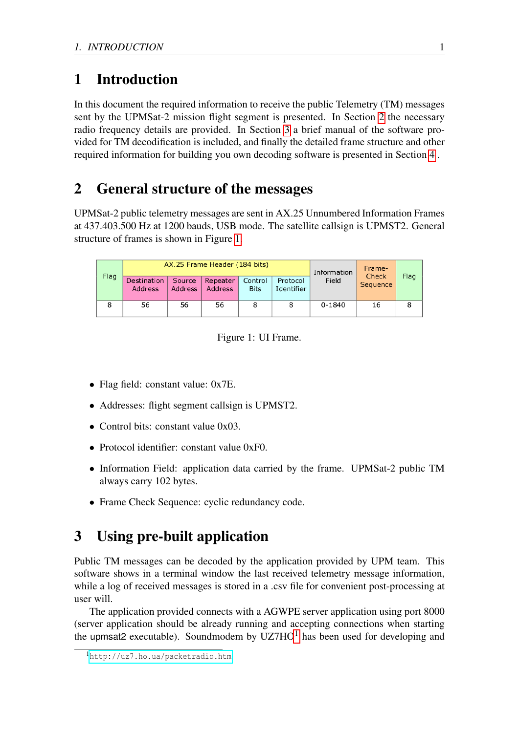# 1 Introduction

In this document the required information to receive the public Telemetry (TM) messages sent by the UPMSat-2 mission flight segment is presented. In Section [2](#page-2-0) the necessary radio frequency details are provided. In Section [3](#page-2-1) a brief manual of the software provided for TM decodification is included, and finally the detailed frame structure and other required information for building you own decoding software is presented in Section [4](#page-3-0) .

# <span id="page-2-0"></span>2 General structure of the messages

UPMSat-2 public telemetry messages are sent in AX.25 Unnumbered Information Frames at 437.403.500 Hz at 1200 bauds, USB mode. The satellite callsign is UPMST2. General structure of frames is shown in Figure [1.](#page-2-2)

| Flag |                               |                          | AX.25 Frame Header (184 bits) | Information            | Frame-<br>Check        | Flag       |          |   |
|------|-------------------------------|--------------------------|-------------------------------|------------------------|------------------------|------------|----------|---|
|      | Destination<br><b>Address</b> | Source<br><b>Address</b> | Repeater<br><b>Address</b>    | Control<br><b>Bits</b> | Protocol<br>Identifier | Field      | Sequence |   |
| 8    | 56                            | 56                       | 56                            | 8                      | 8                      | $0 - 1840$ | 16       | 8 |

<span id="page-2-2"></span>Figure 1: UI Frame.

- Flag field: constant value: 0x7E.
- Addresses: flight segment callsign is UPMST2.
- Control bits: constant value 0x03.
- Protocol identifier: constant value 0xF0.
- Information Field: application data carried by the frame. UPMSat-2 public TM always carry 102 bytes.
- Frame Check Sequence: cyclic redundancy code.

# <span id="page-2-1"></span>3 Using pre-built application

Public TM messages can be decoded by the application provided by UPM team. This software shows in a terminal window the last received telemetry message information, while a log of received messages is stored in a .csv file for convenient post-processing at user will.

The application provided connects with a AGWPE server application using port 8000 (server application should be already running and accepting connections when starting the upmsat2 executable). Soundmodem by  $UZTHO<sup>1</sup>$  $UZTHO<sup>1</sup>$  $UZTHO<sup>1</sup>$  has been used for developing and

<span id="page-2-3"></span><sup>1</sup>[http://uz7.ho.ua/packetradio.htm]( http://uz7.ho.ua/packetradio.htm)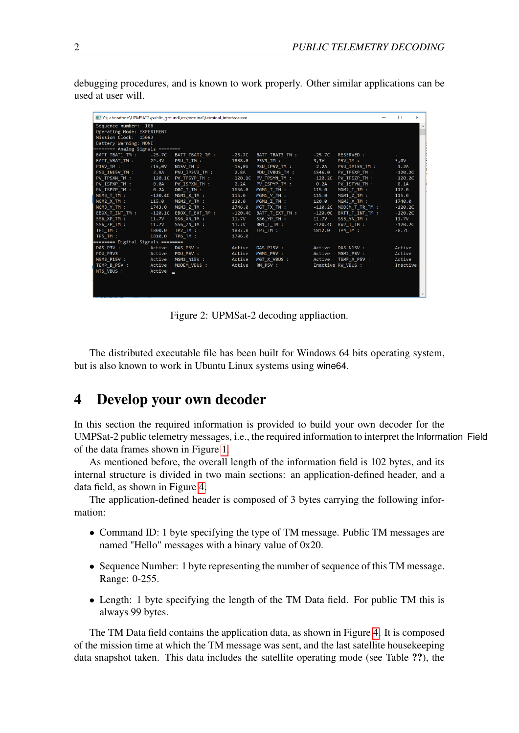debugging procedures, and is known to work properly. Other similar applications can be used at user will.

| Y:\Laboratorio\UPMSAT2\public_qround\src\terminal\terminal_interface.exe |              |                         |           |                 |           |                           | □         | $\times$             |
|--------------------------------------------------------------------------|--------------|-------------------------|-----------|-----------------|-----------|---------------------------|-----------|----------------------|
| Sequence number: 188                                                     |              |                         |           |                 |           |                           |           | $\scriptstyle\wedge$ |
| Operating Mode: EXPERIMENT                                               |              |                         |           |                 |           |                           |           |                      |
| Mission Clock: 15093                                                     |              |                         |           |                 |           |                           |           |                      |
| Battery Warning: NONE                                                    |              |                         |           |                 |           |                           |           |                      |
| ======== Analog Signals ========                                         |              |                         |           |                 |           |                           |           |                      |
| BATT TBAT1 TM :                                                          | $-25.7C$     | BATT TBAT2 TM :         | $-25.7C$  | BATT TBAT3 TM : | -25.7C    | RESERVED :                |           |                      |
| BATT_VBAT_TM :                                                           | 22.4V        | PSU_T_TM :              | 1838.0    | P3V3_TM :       | 3,3V      | P5V_TM :                  | 5,0V      |                      |
| P15V TM :                                                                | $+15,0V$     | N15V TM :               | $-15,0V$  | PSU_IP5V_TM :   | 2.2A      | PSU IP15V TM :            | 1.2A      |                      |
| PSU IN15V TM :                                                           | 2.9A         | PSU IP3V3 TM :          | 2.8A      | PDU IVBUS TM :  | 1546.0    | PV TPSXP TM :             | $-120.2C$ |                      |
| PV TPSXN_TM :                                                            |              | $-120.1C$ PV TPSYP TM : | $-120.1C$ | PV_TPSYN_TM :   | $-120.2C$ | PV TPSZP TM :             | $-120.2C$ |                      |
| PV ISPXP TM :                                                            | $-0.04$      | PV ISPXN TM :           | 0.2A      | PV ISPYP TM :   | $-0.2A$   | PV ISPYN TM :             | 0.1A      |                      |
| PV ISPZP TM :                                                            | <b>9.2A</b>  | OBC T TM :              | 1656.0    | MGM1 T TM :     | 115.0     | MGM2 T TM :               | 117.0     |                      |
| MGM3 T TM :                                                              |              | -120.4C MGM1 X TM :     | 115.0     | MGM1 Y TM :     | 115.0     | MGM1 Z TM :               | 115.0     |                      |
| MGM2 X TM :                                                              | 115.0        | MGM2 Y TM :             | 120.0     | MGM2 Z TM :     | 120.0     | MGM3 X TM :               | 1740.0    |                      |
| MGM3 Y TM :                                                              | 1743.0       | MGM3 Z TM :             | 1746.0    | MGT TX TM :     | $-120.2C$ | MODEM T TR TM :           | $-120.2C$ |                      |
| EBOX_T_INT_TM :                                                          |              |                         | $-120.4C$ | BATT_T_EXT_TM : |           | $-120.0C$ BATT_T_INT_TM : | $-120.2C$ |                      |
| SS6_XP_TM:                                                               | 11.7V        | SS6 XN TM :             | 11.7V     | SS6_YP_TM:      | 11.7V     | SS6 YN TM :               | 11.7V     |                      |
| SS6 ZP TM :                                                              | <b>11.7V</b> | SS6 ZN TM :             | 11.7V     | RW1 T TM :      |           | $-120.4C$ RW2 T TM :      | $-120.2C$ |                      |
| TP1_TM :                                                                 | 1800.0       | TP2 TM :                | 1807.0    | TP3 TM:         | 1812.0    | TP4 TM:                   | 28.7C     |                      |
| TP5 TM :                                                                 | 1810.0       | TP6 TM :                | 1796.0    |                 |           |                           |           |                      |
| ======== Digital Signals ========                                        |              |                         |           |                 |           |                           |           |                      |
| DAS P3V :                                                                | Active       | DAS P5V :               | Active    | DAS P15V :      | Active    | DAS N15V :                | Active    |                      |
| PDU P3V3 :                                                               | Active       | PDU P5V :               | Active    | MGM1 P5V :      | Active    | MGM2 P5V :                | Active    |                      |
| MGM3 P15V :                                                              | Active       | MGM3_N15V :             | Active    | MGT X VBUS :    | Active    | TEMP A P5V :              | Active    |                      |
| TEMP B P5V :                                                             | Active       | MODEM VBUS :            | Active    | <b>RW_P5V :</b> |           | Inactive RW VBUS :        | Inactive  |                      |
| MTS_VBUS :                                                               | Active       |                         |           |                 |           |                           |           |                      |
|                                                                          |              |                         |           |                 |           |                           |           |                      |
|                                                                          |              |                         |           |                 |           |                           |           |                      |
|                                                                          |              |                         |           |                 |           |                           |           |                      |
|                                                                          |              |                         |           |                 |           |                           |           | $\checkmark$         |

Figure 2: UPMSat-2 decoding appliaction.

The distributed executable file has been built for Windows 64 bits operating system, but is also known to work in Ubuntu Linux systems using wine64.

# <span id="page-3-0"></span>4 Develop your own decoder

In this section the required information is provided to build your own decoder for the UMPSat-2 public telemetry messages, i.e., the required information to interpret the Information Field of the data frames shown in Figure [1.](#page-2-2)

As mentioned before, the overall length of the information field is 102 bytes, and its internal structure is divided in two main sections: an application-defined header, and a data field, as shown in Figure [4.](#page-3-0)

The application-defined header is composed of 3 bytes carrying the following information:

- Command ID: 1 byte specifying the type of TM message. Public TM messages are named "Hello" messages with a binary value of 0x20.
- Sequence Number: 1 byte representing the number of sequence of this TM message. Range: 0-255.
- Length: 1 byte specifying the length of the TM Data field. For public TM this is always 99 bytes.

The TM Data field contains the application data, as shown in Figure [4.](#page-3-0) It is composed of the mission time at which the TM message was sent, and the last satellite housekeeping data snapshot taken. This data includes the satellite operating mode (see Table ??), the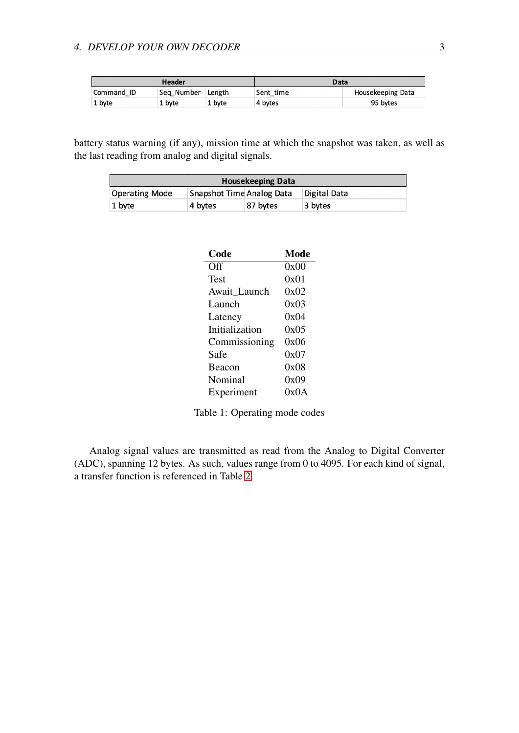|            | Header     |        | Data      |                   |
|------------|------------|--------|-----------|-------------------|
| Command ID | Sea Number | Length | Sent time | Housekeeping Data |
| 1 byte     | 1 byte     | 1 byte | 4 bytes   | 95 bytes          |

battery status warning (if any), mission time at which the snapshot was taken, as well as the last reading from analog and digital signals.

|                       |                           | <b>Housekeeping Data</b> |              |
|-----------------------|---------------------------|--------------------------|--------------|
| <b>Operating Mode</b> | Snapshot Time Analog Data |                          | Digital Data |
| 1 byte                | 4 bytes                   | 87 bytes                 | 3 bytes      |

| Code           | Mode |
|----------------|------|
| Off            | 0x00 |
| Test           | 0x01 |
| Await Launch   | 0x02 |
| Launch         | 0x03 |
| Latency        | 0x04 |
| Initialization | 0x05 |
| Commissioning  | 0x06 |
| Safe           | 0x07 |
| <b>Beacon</b>  | 0x08 |
| Nominal        | 0x09 |
| Experiment     | 0x0A |

Table 1: Operating mode codes

Analog signal values are transmitted as read from the Analog to Digital Converter (ADC), spanning 12 bytes. As such, values range from 0 to 4095. For each kind of signal, a transfer function is referenced in Table [2.](#page-5-0)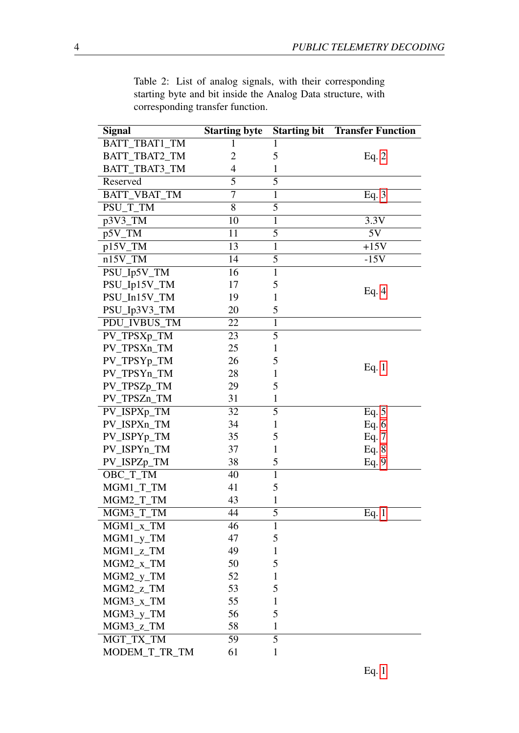<span id="page-5-0"></span>

| <b>Signal</b>            | <b>Starting byte</b> |              | <b>Starting bit Transfer Function</b> |
|--------------------------|----------------------|--------------|---------------------------------------|
| BATT_TBAT1_TM            | 1                    | 1            |                                       |
| BATT_TBAT2_TM            | 2                    | 5            | Eq. $2$                               |
| BATT_TBAT3_TM            | 4                    | 1            |                                       |
| Reserved                 | 5                    | 5            |                                       |
| BATT_VBAT_TM             | $\overline{7}$       | $\mathbf{1}$ | Eq. $3$                               |
| PSU_T_TM                 | 8                    | 5            |                                       |
| p3V3_TM                  | 10                   | $\mathbf{1}$ | 3.3V                                  |
| p5V_TM                   | 11                   | 5            | 5V                                    |
| p15V_TM                  | $\overline{13}$      | $\mathbf{1}$ | $+15V$                                |
| $n15V$ _TM               | 14                   | 5            | $-15V$                                |
| PSU_Ip5V_TM              | 16                   | $\mathbf{1}$ |                                       |
| PSU_Ip15V_TM             | 17                   | 5            |                                       |
| PSU_In15V_TM             | 19                   | $\mathbf{1}$ | Eq. $4$                               |
| PSU_Ip3V3_TM             | 20                   | 5            |                                       |
| PDU_IVBUS_TM             | 22                   | $\mathbf{1}$ |                                       |
| PV_TPSXp_TM              | 23                   | 5            |                                       |
| PV_TPSXn_TM              | 25                   | 1            |                                       |
| PV_TPSYp_TM              | 26                   | 5            |                                       |
| PV TPSYn TM              | 28                   | $\mathbf{1}$ | Eq. $1$                               |
| PV_TPSZp_TM              | 29                   | 5            |                                       |
| PV_TPSZn_TM              | 31                   | 1            |                                       |
| PV_ISPXp_TM              | 32                   | 5            | Eq. $5$                               |
| PV_ISPXn_TM              | 34                   | 1            | Eq. $6$                               |
| PV_ISPYp_TM              | 35                   | 5            | Eq. 7                                 |
| PV_ISPYn_TM              | 37                   | $\mathbf{1}$ | Eq. $8$                               |
| PV_ISPZp_TM              | 38                   | 5            | Eq. 9                                 |
| OBC_T_TM                 | 40                   | $\mathbf{1}$ |                                       |
| MGM1_T_TM                | 41                   | 5            |                                       |
| MGM2_T_TM                | 43                   | 1            |                                       |
| MGM3_T_TM                | 44                   | 5            | Eq. $1$                               |
| $MGM1_x$ <sub>_</sub> TM | 46                   | 1            |                                       |
| $MGM1_y_T$               | 47                   | 5            |                                       |
| MGM1_z_TM                | 49                   | 1            |                                       |
| $MGM2_x$ <sub>_</sub> TM | 50                   | 5            |                                       |
| MGM2_y_TM                | 52                   | 1            |                                       |
| MGM2_z_TM                | 53                   | 5            |                                       |
| MGM3_x_TM                | 55                   | $\mathbf{1}$ |                                       |
| MGM3_y_TM                | 56                   | 5            |                                       |
| MGM3_z_TM                | 58                   | $\mathbf{1}$ |                                       |
| MGT_TX_TM                | 59                   | 5            |                                       |

MODEM\_T\_TR\_TM 61 1

Table 2: List of analog signals, with their corresponding starting byte and bit inside the Analog Data structure, with corresponding transfer function.

Eq. [1](#page-7-3)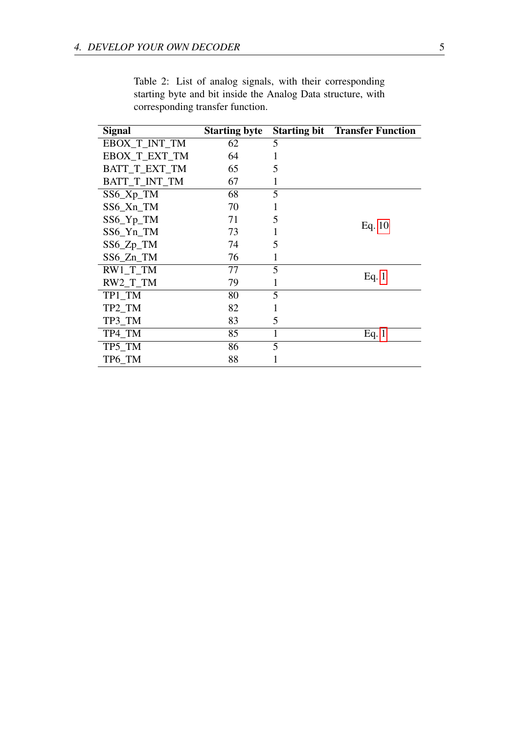| Signal               | <b>Starting byte</b> |   | <b>Starting bit</b> Transfer Function |
|----------------------|----------------------|---|---------------------------------------|
| EBOX_T_INT_TM        | 62                   | 5 |                                       |
| EBOX_T_EXT_TM        | 64                   | 1 |                                       |
| BATT T EXT TM        | 65                   | 5 |                                       |
| <b>BATT T INT TM</b> | 67                   | 1 |                                       |
| $SS6_Xp_TM$          | 68                   | 5 |                                       |
| SS6_Xn_TM            | 70                   | 1 |                                       |
| SS6_Yp_TM            | 71                   | 5 |                                       |
| SS6_Yn_TM            | 73                   |   | Eq. $10$                              |
| SS6_Zp_TM            | 74                   | 5 |                                       |
| SS6_Zn_TM            | 76                   | 1 |                                       |
| $RW1_T$ TM           | 77                   | 5 |                                       |
| $RW2_T$ TM           | 79                   | 1 | Eq. $1$                               |
| TP1_TM               | 80                   | 5 |                                       |
| TP2_TM               | 82                   | 1 |                                       |
| TP3_TM               | 83                   | 5 |                                       |
| TP4_TM               | 85                   | 1 | Eq. $1$                               |
| TP5_TM               | 86                   | 5 |                                       |
| TP6 TM               | 88                   |   |                                       |

Table 2: List of analog signals, with their corresponding starting byte and bit inside the Analog Data structure, with corresponding transfer function.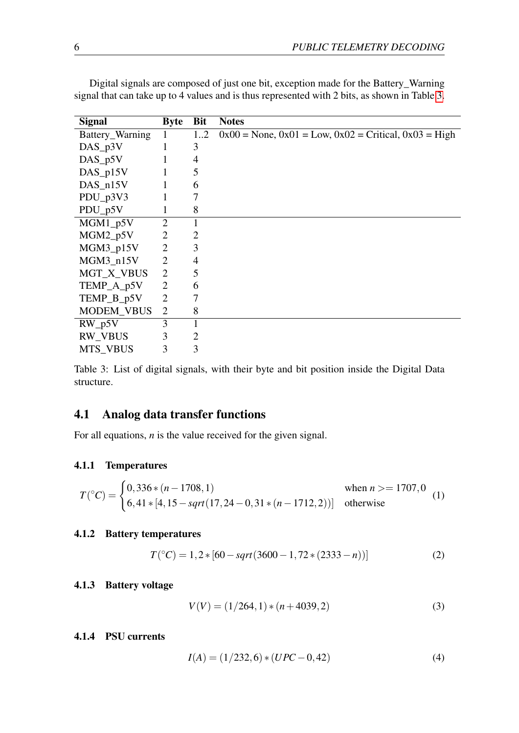| <b>Signal</b>     | <b>Byte</b>    | <b>Bit</b>     | <b>Notes</b>                                                     |
|-------------------|----------------|----------------|------------------------------------------------------------------|
| Battery_Warning   |                | 1.2            | $0x00 = None$ , $0x01 = Low$ , $0x02 = Critical$ , $0x03 = High$ |
| $DAS_p3V$         |                | 3              |                                                                  |
| $DAS_p5V$         |                | 4              |                                                                  |
| $DAS_p15V$        |                | 5              |                                                                  |
| $DAS_n15V$        |                | 6              |                                                                  |
| $PDU_p3V3$        |                | 7              |                                                                  |
| $PDU_p5V$         |                | 8              |                                                                  |
| $MGM1_p5V$        | $\overline{2}$ | 1              |                                                                  |
| $MGM2_p5V$        | $\overline{2}$ | 2              |                                                                  |
| MGM3_p15V         | $\overline{2}$ | 3              |                                                                  |
| MGM3_n15V         | $\overline{2}$ | 4              |                                                                  |
| MGT_X_VBUS        | $\overline{2}$ | 5              |                                                                  |
| TEMP_A_p5V        | $\overline{2}$ | 6              |                                                                  |
| TEMP_B_p5V        | $\overline{2}$ | 7              |                                                                  |
| <b>MODEM_VBUS</b> | 2              | 8              |                                                                  |
| $RW_p5V$          | 3              | $\mathbf{1}$   |                                                                  |
| <b>RW_VBUS</b>    | 3              | $\overline{2}$ |                                                                  |
| MTS_VBUS          | 3              | 3              |                                                                  |

Digital signals are composed of just one bit, exception made for the Battery\_Warning signal that can take up to 4 values and is thus represented with 2 bits, as shown in Table [3.](#page-7-4)

<span id="page-7-4"></span>Table 3: List of digital signals, with their byte and bit position inside the Digital Data structure.

# 4.1 Analog data transfer functions

For all equations, *n* is the value received for the given signal.

#### 4.1.1 Temperatures

<span id="page-7-3"></span>
$$
T(^{\circ}C) = \begin{cases} 0,336*(n-1708,1) & \text{when } n > = 1707,0\\ 6,41*[4,15 - sqrt(17,24-0,31*(n-1712,2))] & \text{otherwise} \end{cases}
$$
(1)

#### 4.1.2 Battery temperatures

<span id="page-7-0"></span>
$$
T(^{\circ}C) = 1, 2 * [60 - sqrt(3600 - 1, 72 * (2333 - n))]
$$
 (2)

#### 4.1.3 Battery voltage

<span id="page-7-1"></span>
$$
V(V) = (1/264, 1) * (n + 4039, 2)
$$
\n(3)

#### 4.1.4 PSU currents

<span id="page-7-2"></span>
$$
I(A) = (1/232, 6) * (UPC - 0, 42)
$$
\n<sup>(4)</sup>